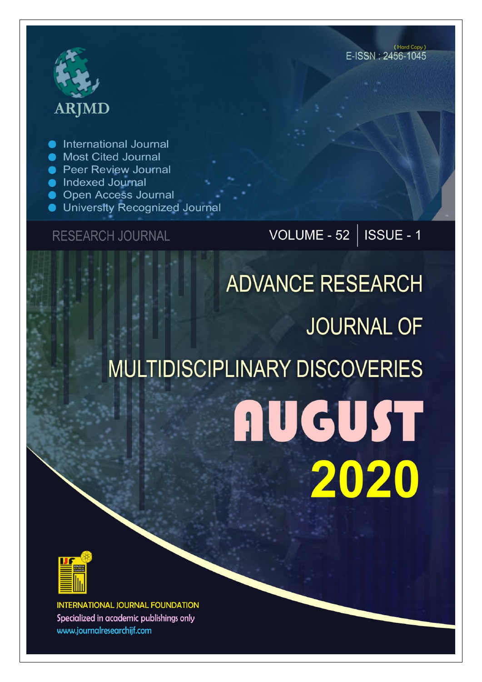

International Journal

- **Most Cited Journal**
- **Peer Review Journal**
- **Indexed Journal**
- **Open Access Journal**
- University Recognized Journal

## **RESEARCH JOURNAL**

VOLUME - 52 | ISSUE - 1

# **ADVANCE RESEARCH JOURNAL OF MULTIDISCIPLINARY DISCOVERIES AUGUST** 2020



**INTERNATIONAL JOURNAL FOUNDATION** Specialized in academic publishings only www.journalresearchijf.com

(Hard Copy)  $F$ -ISSN  $\cdot$  2456-1045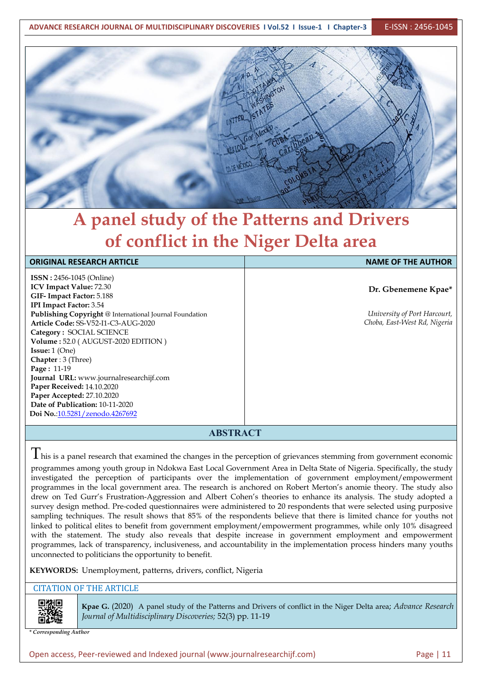

## **A panel study of the Patterns and Drivers of conflict in the Niger Delta area**

#### **ORIGINAL RESEARCH ARTICLE NAME OF THE AUTHOR**

**ISSN :** 2456-1045 (Online) **ICV Impact Value:** 72.30 **GIF- Impact Factor:** 5.188 **IPI Impact Factor:** 3.54 **Publishing Copyright** @ International Journal Foundation **Article Code:** SS-V52-I1-C3-AUG-2020 **Category :** SOCIAL SCIENCE **Volume :** 52.0 (AUGUST-2020 EDITION ) **Issue:** 1 (One) **Chapter** : 3 (Three) **Page :** 11-19 **Journal URL:** www.journalresearchijf.com **Paper Received:** 14.10.2020 **Paper Accepted:** 27.10.2020 **Date of Publication:** 10-11-2020 **Doi No.**[:10.5281/zenodo.4267692](https://doi.org/10.5281/zenodo.4267692
)

**Dr. Gbenemene Kpae\***

*University of Port Harcourt, Choba, East-West Rd, Nigeria*

#### **ABSTRACT**

 $T$ his is a panel research that examined the changes in the perception of grievances stemming from government economic programmes among youth group in Ndokwa East Local Government Area in Delta State of Nigeria. Specifically, the study investigated the perception of participants over the implementation of government employment/empowerment programmes in the local government area. The research is anchored on Robert Merton's anomie theory. The study also drew on Ted Gurr's Frustration-Aggression and Albert Cohen's theories to enhance its analysis. The study adopted a survey design method. Pre-coded questionnaires were administered to 20 respondents that were selected using purposive sampling techniques. The result shows that 85% of the respondents believe that there is limited chance for youths not linked to political elites to benefit from government employment/empowerment programmes, while only 10% disagreed with the statement. The study also reveals that despite increase in government employment and empowerment programmes, lack of transparency, inclusiveness, and accountability in the implementation process hinders many youths unconnected to politicians the opportunity to benefit.

#### **KEYWORDS:** Unemployment, patterns, drivers, conflict, Nigeria

#### CITATION OF THE ARTICLE



**Kpae G.** (2020) A panel study of the Patterns and Drivers of conflict in the Niger Delta area; *Advance Research Journal of Multidisciplinary Discoveries;* 52(3) pp. 11-19

*\* Corresponding Author*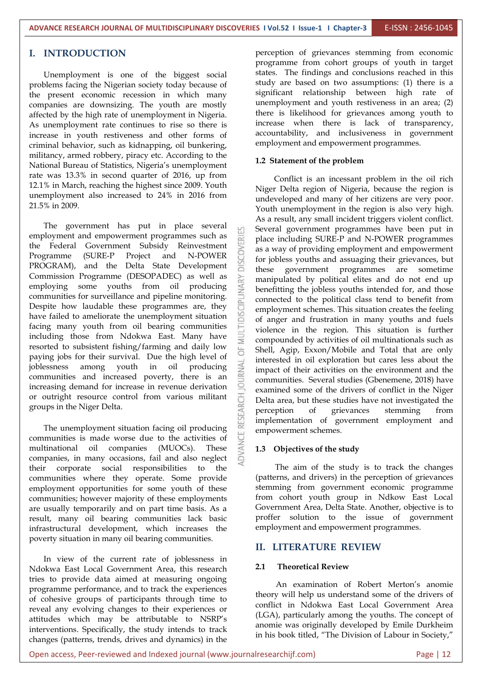#### **I. INTRODUCTION**

Unemployment is one of the biggest social problems facing the Nigerian society today because of the present economic recession in which many companies are downsizing. The youth are mostly affected by the high rate of unemployment in Nigeria. As unemployment rate continues to rise so there is increase in youth restiveness and other forms of criminal behavior, such as kidnapping, oil bunkering, militancy, armed robbery, piracy etc. According to the National Bureau of Statistics, Nigeria's unemployment rate was 13.3% in second quarter of 2016, up from 12.1% in March, reaching the highest since 2009. Youth unemployment also increased to 24% in 2016 from 21.5% in 2009.

The government has put in place several  $\Box$ employment and empowerment programmes such as the Federal Government Subsidy Reinvestment<br>Programme (SURE-P Project and N-POWER DROGRAM), and the Delta State Development Programme (SURE-P Project and N-POWER of index for jobless youths and assuaging their grievances, but PROGRAM), and the Delta State Development Commission Programme (DESOPADEC) as well as employing some youths from oil producing communities for surveillance and pipeline monitoring. Despite how laudable these programmes are, they have failed to ameliorate the unemployment situation<br>facing many youth from oil bearing communities facing many youth from oil bearing communities including those from Ndokwa East. Many have resorted to subsistent fishing/farming and daily low paying jobs for their survival. Due the high level of<br>joblessness among youth in oil producing<br>communities and increased poverty, there is an joblessness among youth in oil producing communities and increased poverty, there is an increasing demand for increase in revenue derivation or outright resource control from various militant groups in the Niger Delta.

The unemployment situation facing oil producing communities is made worse due to the activities of multinational oil companies (MUOCs). These companies, in many occasions, fail and also neglect their corporate social responsibilities to the communities where they operate. Some provide employment opportunities for some youth of these communities; however majority of these employments are usually temporarily and on part time basis. As a result, many oil bearing communities lack basic infrastructural development, which increases the poverty situation in many oil bearing communities.

In view of the current rate of joblessness in Ndokwa East Local Government Area, this research tries to provide data aimed at measuring ongoing programme performance, and to track the experiences of cohesive groups of participants through time to reveal any evolving changes to their experiences or attitudes which may be attributable to NSRP's interventions. Specifically, the study intends to track changes (patterns, trends, drives and dynamics) in the

perception of grievances stemming from economic programme from cohort groups of youth in target states. The findings and conclusions reached in this study are based on two assumptions: (1) there is a significant relationship between high rate of unemployment and youth restiveness in an area; (2) there is likelihood for grievances among youth to increase when there is lack of transparency, accountability, and inclusiveness in government employment and empowerment programmes.

#### **1.2 Statement of the problem**

Conflict is an incessant problem in the oil rich Niger Delta region of Nigeria, because the region is undeveloped and many of her citizens are very poor. Youth unemployment in the region is also very high. As a result, any small incident triggers violent conflict. Several government programmes have been put in place including SURE-P and N-POWER programmes as a way of providing employment and empowerment these government programmes are sometime manipulated by political elites and do not end up benefitting the jobless youths intended for, and those connected to the political class tend to benefit from employment schemes. This situation creates the feeling of anger and frustration in many youths and fuels violence in the region. This situation is further compounded by activities of oil multinationals such as Shell, Agip, Exxon/Mobile and Total that are only interested in oil exploration but cares less about the impact of their activities on the environment and the communities. Several studies (Gbenemene, 2018) have examined some of the drivers of conflict in the Niger Delta area, but these studies have not investigated the perception of grievances stemming from implementation of government employment and empowerment schemes.

#### **1.3 Objectives of the study**

The aim of the study is to track the changes (patterns, and drivers) in the perception of grievances stemming from government economic programme from cohort youth group in Ndkow East Local Government Area, Delta State. Another, objective is to proffer solution to the issue of government employment and empowerment programmes.

#### **II. LITERATURE REVIEW**

#### **2.1 Theoretical Review**

An examination of Robert Merton's anomie theory will help us understand some of the drivers of conflict in Ndokwa East Local Government Area (LGA), particularly among the youths. The concept of anomie was originally developed by Emile Durkheim in his book titled, "The Division of Labour in Society,"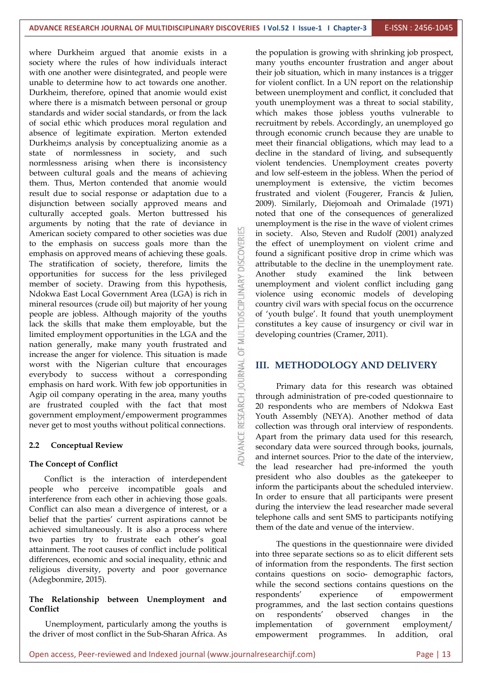where Durkheim argued that anomie exists in a society where the rules of how individuals interact with one another were disintegrated, and people were unable to determine how to act towards one another. Durkheim, therefore, opined that anomie would exist where there is a mismatch between personal or group standards and wider social standards, or from the lack of social ethic which produces moral regulation and absence of legitimate expiration. Merton extended Durkheim;s analysis by conceptualizing anomie as a state of normlessness in society, and such normlessness arising when there is inconsistency between cultural goals and the means of achieving them. Thus, Merton contended that anomie would result due to social response or adaptation due to a disjunction between socially approved means and culturally accepted goals. Merton buttressed his arguments by noting that the rate of deviance in American society compared to other societies was due<br>to the emphasis on success goals more than the to the emphasis on success goals more than the emphasis on approved means of achieving these goals.<br>The stratification of society, therefore, limits the emphasis on approved means of achieving these goals. The stratification of society, therefore, limits the opportunities for success for the less privileged Another study<br>member of society. Drawing from this hypothesis,<br>Ndokwa East Local Government Area (LGA) is rich in<br>mineral resources (crude oil) but majority of her young member of society. Drawing from this hypothesis, Ndokwa East Local Government Area (LGA) is rich in mineral resources (crude oil) but majority of her young people are jobless. Although majority of the youths lack the skills that make them employable, but the limited employment opportunities in the LGA and the nation generally, make many youth frustrated and  $\sum_{i=1}^{\infty}$ increase the anger for violence. This situation is made<br>worst with the Nigerian culture that encourages<br>everybody to success without a corresponding worst with the Nigerian culture that encourages everybody to success without a corresponding<br>emphasis on hard work. With few job opportunities in emphasis on hard work. With few job opportunities in Agip oil company operating in the area, many youths<br>are frustrated coupled with the fact that most<br>government employment/empowerment programmes<br>never get to most youths without political connections. are frustrated coupled with the fact that most government employment/empowerment programmes never get to most youths without political connections.

#### **2.2 Conceptual Review**

#### **The Concept of Conflict**

Conflict is the interaction of interdependent people who perceive incompatible goals and interference from each other in achieving those goals. Conflict can also mean a divergence of interest, or a belief that the parties' current aspirations cannot be achieved simultaneously. It is also a process where two parties try to frustrate each other's goal attainment. The root causes of conflict include political differences, economic and social inequality, ethnic and religious diversity, poverty and poor governance (Adegbonmire, 2015).

### **The Relationship between Unemployment and Conflict**

Unemployment, particularly among the youths is the driver of most conflict in the Sub-Sharan Africa. As

the population is growing with shrinking job prospect, many youths encounter frustration and anger about their job situation, which in many instances is a trigger for violent conflict. In a UN report on the relationship between unemployment and conflict, it concluded that youth unemployment was a threat to social stability, which makes those jobless youths vulnerable to recruitment by rebels. Accordingly, an unemployed go through economic crunch because they are unable to meet their financial obligations, which may lead to a decline in the standard of living, and subsequently violent tendencies. Unemployment creates poverty and low self-esteem in the jobless. When the period of unemployment is extensive, the victim becomes frustrated and violent (Fougerer, Francis & Julien, 2009). Similarly, Diejomoah and Orimalade (1971) noted that one of the consequences of generalized unemployment is the rise in the wave of violent crimes in society. Also, Steven and Rudolf (2001) analyzed the effect of unemployment on violent crime and found a significant positive drop in crime which was attributable to the decline in the unemployment rate. examined the link between unemployment and violent conflict including gang violence using economic models of developing country civil wars with special focus on the occurrence of 'youth bulge'. It found that youth unemployment constitutes a key cause of insurgency or civil war in developing countries (Cramer, 2011).

#### **III. METHODOLOGY AND DELIVERY**

Primary data for this research was obtained through administration of pre-coded questionnaire to 20 respondents who are members of Ndokwa East Youth Assembly (NEYA). Another method of data collection was through oral interview of respondents. Apart from the primary data used for this research, secondary data were sourced through books, journals, and internet sources. Prior to the date of the interview, the lead researcher had pre-informed the youth president who also doubles as the gatekeeper to inform the participants about the scheduled interview. In order to ensure that all participants were present during the interview the lead researcher made several telephone calls and sent SMS to participants notifying them of the date and venue of the interview.

The questions in the questionnaire were divided into three separate sections so as to elicit different sets of information from the respondents. The first section contains questions on socio- demographic factors, while the second sections contains questions on the of empowerment programmes, and the last section contains questions on respondents' observed changes in the implementation of government employment/ empowerment programmes. In addition, oral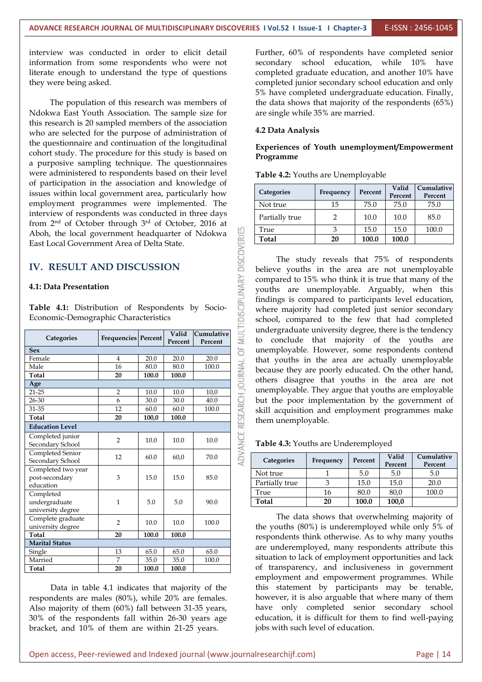ADVANCE RESEARCH JOURNAL OF MULTIDISCIPLINARY DISCOVERIES

interview was conducted in order to elicit detail information from some respondents who were not literate enough to understand the type of questions they were being asked.

The population of this research was members of Ndokwa East Youth Association. The sample size for this research is 20 sampled members of the association who are selected for the purpose of administration of the questionnaire and continuation of the longitudinal cohort study. The procedure for this study is based on a purposive sampling technique. The questionnaires were administered to respondents based on their level of participation in the association and knowledge of issues within local government area, particularly how employment programmes were implemented. The interview of respondents was conducted in three days from  $2<sup>nd</sup>$  of October through  $3<sup>rd</sup>$  of October, 2016 at Aboh, the local government headquarter of Ndokwa East Local Government Area of Delta State.

#### **IV. RESULT AND DISCUSSION**

#### **4.1: Data Presentation**

**Table 4.1:** Distribution of Respondents by Socio- Economic-Demographic Characteristics

| undergraduate university degree, there is the tendency<br>MUL<br>Valid<br>Cumulative<br>Categories<br>Frequencies   Percent  <br>to conclude that majority of the youths are<br>Percent<br>Percent<br>5F<br>unemployable. However, some respondents contend<br>Female<br>20.0<br>20.0<br>20.0<br>4<br>that youths in the area are actually unemployable<br>RESEARCH JOURNAL<br>Male<br>16<br>80.0<br>80.0<br>100.0<br>because they are poorly educated. On the other hand,<br>Total<br>20<br>100.0<br>100.0<br>others disagree that youths in the area are not<br>Age<br>unemployable. They argue that youths are employable<br>10,0<br>2<br>10.0<br>10.0<br>but the poor implementation by the government of<br>6<br>$26 - 30$<br>40.0<br>30.0<br>30.0<br>31-35<br>60.0<br>100.0<br>12<br>60.0<br>skill acquisition and employment programmes make<br><b>Total</b><br>20<br>100.0<br>100,0<br>them unemployable.<br><b>Education Level</b><br>ADVANCE<br>Completed junior<br>$\overline{2}$<br>10.0<br>10.0<br>10.0<br>Table 4.3: Youths are Underemployed<br>Secondary School<br>Completed Senior<br>Valid<br>Cumulative<br>12<br>60.0<br>70.0<br>60,0<br>Categories<br>Secondary School<br>Percent<br>Frequency<br>Percent<br>Percent<br>Completed two year<br>5.0<br>5.0<br>Not true<br>5.0<br>$\mathbf{1}$<br>15.0<br>85.0<br>post-secondary<br>3<br>15.0<br>3<br>Partially true<br>15.0<br>20.0<br>15.0<br>education<br>80,0<br>True<br>80.0<br>100.0<br>16<br>Completed<br><b>Total</b><br>20<br>100,0<br>100.0<br>5.0<br>5.0<br>90.0<br>undergraduate<br>$\mathbf 1$<br>university degree<br>The data shows that overwhelming majority of<br>Complete graduate<br>$\overline{2}$<br>10.0<br>10.0<br>100.0<br>the youths $(80\%)$ is underemployed while only 5% of<br>university degree<br>Total<br>20<br>100.0<br>100.0<br>respondents think otherwise. As to why many youths<br><b>Marital Status</b><br>are underemployed, many respondents attribute this<br>65.0<br>65.0<br>65.0<br>Single<br>13<br>situation to lack of employment opportunities and lack<br>7<br>Married<br>35.0<br>35.0<br>100.0<br>of transparency, and inclusiveness in government<br>20<br><b>Total</b><br>100.0<br>100.0 |            |  |  |
|--------------------------------------------------------------------------------------------------------------------------------------------------------------------------------------------------------------------------------------------------------------------------------------------------------------------------------------------------------------------------------------------------------------------------------------------------------------------------------------------------------------------------------------------------------------------------------------------------------------------------------------------------------------------------------------------------------------------------------------------------------------------------------------------------------------------------------------------------------------------------------------------------------------------------------------------------------------------------------------------------------------------------------------------------------------------------------------------------------------------------------------------------------------------------------------------------------------------------------------------------------------------------------------------------------------------------------------------------------------------------------------------------------------------------------------------------------------------------------------------------------------------------------------------------------------------------------------------------------------------------------------------------------------------------------------------------------------------------------------------------------------------------------------------------------------------------------------------------------------------------------------------------------------------------------------------------------------------------------------------------------------------------------------------------------------------------------------------------------------------------------------------------------------------------------------------------------------|------------|--|--|
|                                                                                                                                                                                                                                                                                                                                                                                                                                                                                                                                                                                                                                                                                                                                                                                                                                                                                                                                                                                                                                                                                                                                                                                                                                                                                                                                                                                                                                                                                                                                                                                                                                                                                                                                                                                                                                                                                                                                                                                                                                                                                                                                                                                                              |            |  |  |
|                                                                                                                                                                                                                                                                                                                                                                                                                                                                                                                                                                                                                                                                                                                                                                                                                                                                                                                                                                                                                                                                                                                                                                                                                                                                                                                                                                                                                                                                                                                                                                                                                                                                                                                                                                                                                                                                                                                                                                                                                                                                                                                                                                                                              | <b>Sex</b> |  |  |
|                                                                                                                                                                                                                                                                                                                                                                                                                                                                                                                                                                                                                                                                                                                                                                                                                                                                                                                                                                                                                                                                                                                                                                                                                                                                                                                                                                                                                                                                                                                                                                                                                                                                                                                                                                                                                                                                                                                                                                                                                                                                                                                                                                                                              |            |  |  |
|                                                                                                                                                                                                                                                                                                                                                                                                                                                                                                                                                                                                                                                                                                                                                                                                                                                                                                                                                                                                                                                                                                                                                                                                                                                                                                                                                                                                                                                                                                                                                                                                                                                                                                                                                                                                                                                                                                                                                                                                                                                                                                                                                                                                              |            |  |  |
|                                                                                                                                                                                                                                                                                                                                                                                                                                                                                                                                                                                                                                                                                                                                                                                                                                                                                                                                                                                                                                                                                                                                                                                                                                                                                                                                                                                                                                                                                                                                                                                                                                                                                                                                                                                                                                                                                                                                                                                                                                                                                                                                                                                                              |            |  |  |
|                                                                                                                                                                                                                                                                                                                                                                                                                                                                                                                                                                                                                                                                                                                                                                                                                                                                                                                                                                                                                                                                                                                                                                                                                                                                                                                                                                                                                                                                                                                                                                                                                                                                                                                                                                                                                                                                                                                                                                                                                                                                                                                                                                                                              |            |  |  |
|                                                                                                                                                                                                                                                                                                                                                                                                                                                                                                                                                                                                                                                                                                                                                                                                                                                                                                                                                                                                                                                                                                                                                                                                                                                                                                                                                                                                                                                                                                                                                                                                                                                                                                                                                                                                                                                                                                                                                                                                                                                                                                                                                                                                              | $21 - 25$  |  |  |
|                                                                                                                                                                                                                                                                                                                                                                                                                                                                                                                                                                                                                                                                                                                                                                                                                                                                                                                                                                                                                                                                                                                                                                                                                                                                                                                                                                                                                                                                                                                                                                                                                                                                                                                                                                                                                                                                                                                                                                                                                                                                                                                                                                                                              |            |  |  |
|                                                                                                                                                                                                                                                                                                                                                                                                                                                                                                                                                                                                                                                                                                                                                                                                                                                                                                                                                                                                                                                                                                                                                                                                                                                                                                                                                                                                                                                                                                                                                                                                                                                                                                                                                                                                                                                                                                                                                                                                                                                                                                                                                                                                              |            |  |  |
|                                                                                                                                                                                                                                                                                                                                                                                                                                                                                                                                                                                                                                                                                                                                                                                                                                                                                                                                                                                                                                                                                                                                                                                                                                                                                                                                                                                                                                                                                                                                                                                                                                                                                                                                                                                                                                                                                                                                                                                                                                                                                                                                                                                                              |            |  |  |
|                                                                                                                                                                                                                                                                                                                                                                                                                                                                                                                                                                                                                                                                                                                                                                                                                                                                                                                                                                                                                                                                                                                                                                                                                                                                                                                                                                                                                                                                                                                                                                                                                                                                                                                                                                                                                                                                                                                                                                                                                                                                                                                                                                                                              |            |  |  |
|                                                                                                                                                                                                                                                                                                                                                                                                                                                                                                                                                                                                                                                                                                                                                                                                                                                                                                                                                                                                                                                                                                                                                                                                                                                                                                                                                                                                                                                                                                                                                                                                                                                                                                                                                                                                                                                                                                                                                                                                                                                                                                                                                                                                              |            |  |  |
|                                                                                                                                                                                                                                                                                                                                                                                                                                                                                                                                                                                                                                                                                                                                                                                                                                                                                                                                                                                                                                                                                                                                                                                                                                                                                                                                                                                                                                                                                                                                                                                                                                                                                                                                                                                                                                                                                                                                                                                                                                                                                                                                                                                                              |            |  |  |
|                                                                                                                                                                                                                                                                                                                                                                                                                                                                                                                                                                                                                                                                                                                                                                                                                                                                                                                                                                                                                                                                                                                                                                                                                                                                                                                                                                                                                                                                                                                                                                                                                                                                                                                                                                                                                                                                                                                                                                                                                                                                                                                                                                                                              |            |  |  |
|                                                                                                                                                                                                                                                                                                                                                                                                                                                                                                                                                                                                                                                                                                                                                                                                                                                                                                                                                                                                                                                                                                                                                                                                                                                                                                                                                                                                                                                                                                                                                                                                                                                                                                                                                                                                                                                                                                                                                                                                                                                                                                                                                                                                              |            |  |  |
|                                                                                                                                                                                                                                                                                                                                                                                                                                                                                                                                                                                                                                                                                                                                                                                                                                                                                                                                                                                                                                                                                                                                                                                                                                                                                                                                                                                                                                                                                                                                                                                                                                                                                                                                                                                                                                                                                                                                                                                                                                                                                                                                                                                                              |            |  |  |
|                                                                                                                                                                                                                                                                                                                                                                                                                                                                                                                                                                                                                                                                                                                                                                                                                                                                                                                                                                                                                                                                                                                                                                                                                                                                                                                                                                                                                                                                                                                                                                                                                                                                                                                                                                                                                                                                                                                                                                                                                                                                                                                                                                                                              |            |  |  |
|                                                                                                                                                                                                                                                                                                                                                                                                                                                                                                                                                                                                                                                                                                                                                                                                                                                                                                                                                                                                                                                                                                                                                                                                                                                                                                                                                                                                                                                                                                                                                                                                                                                                                                                                                                                                                                                                                                                                                                                                                                                                                                                                                                                                              |            |  |  |
|                                                                                                                                                                                                                                                                                                                                                                                                                                                                                                                                                                                                                                                                                                                                                                                                                                                                                                                                                                                                                                                                                                                                                                                                                                                                                                                                                                                                                                                                                                                                                                                                                                                                                                                                                                                                                                                                                                                                                                                                                                                                                                                                                                                                              |            |  |  |
|                                                                                                                                                                                                                                                                                                                                                                                                                                                                                                                                                                                                                                                                                                                                                                                                                                                                                                                                                                                                                                                                                                                                                                                                                                                                                                                                                                                                                                                                                                                                                                                                                                                                                                                                                                                                                                                                                                                                                                                                                                                                                                                                                                                                              |            |  |  |
|                                                                                                                                                                                                                                                                                                                                                                                                                                                                                                                                                                                                                                                                                                                                                                                                                                                                                                                                                                                                                                                                                                                                                                                                                                                                                                                                                                                                                                                                                                                                                                                                                                                                                                                                                                                                                                                                                                                                                                                                                                                                                                                                                                                                              |            |  |  |
|                                                                                                                                                                                                                                                                                                                                                                                                                                                                                                                                                                                                                                                                                                                                                                                                                                                                                                                                                                                                                                                                                                                                                                                                                                                                                                                                                                                                                                                                                                                                                                                                                                                                                                                                                                                                                                                                                                                                                                                                                                                                                                                                                                                                              |            |  |  |
|                                                                                                                                                                                                                                                                                                                                                                                                                                                                                                                                                                                                                                                                                                                                                                                                                                                                                                                                                                                                                                                                                                                                                                                                                                                                                                                                                                                                                                                                                                                                                                                                                                                                                                                                                                                                                                                                                                                                                                                                                                                                                                                                                                                                              |            |  |  |
|                                                                                                                                                                                                                                                                                                                                                                                                                                                                                                                                                                                                                                                                                                                                                                                                                                                                                                                                                                                                                                                                                                                                                                                                                                                                                                                                                                                                                                                                                                                                                                                                                                                                                                                                                                                                                                                                                                                                                                                                                                                                                                                                                                                                              |            |  |  |

respondents are males  $(80\%)$ , while  $20\%$  are females. Also majority of them (60%) fall between 31-35 years, 30% of the respondents fall within 26-30 years age bracket, and 10% of them are within 21-25 years.

Further, 60% of respondents have completed senior secondary school education, while 10% have completed graduate education, and another 10% have completed junior secondary school education and only 5% have completed undergraduate education. Finally, the data shows that majority of the respondents (65%) are single while 35% are married.

#### **4.2 Data Analysis**

#### **Experiences of Youth unemployment/Empowerment Programme**

**Table 4.2:** Youths are Unemployable

| <b>Categories</b> | Frequency | Percent | Valid<br>Percent | Cumulative<br>Percent |
|-------------------|-----------|---------|------------------|-----------------------|
| Not true          | 15        | 75.0    | 75.0             | 75.0                  |
| Partially true    | っ         | 10.0    | 10.0             | 85.0                  |
| True              |           | 15.0    | 15.0             | 100.0                 |
| Total             | 20        | 100.0   | 100.0            |                       |

**Cumulative**  $\begin{bmatrix} 1 \\ 2 \end{bmatrix}$  undergraduate university degree, there is the tendency The study reveals that 75% of respondents believe youths in the area are not unemployable compared to 15% who think it is true that many of the youths are unemployable. Arguably, when this findings is compared to participants level education, where majority had completed just senior secondary school, compared to the few that had completed to conclude that majority of the youths are unemployable. However, some respondents contend that youths in the area are actually unemployable because they are poorly educated. On the other hand, others disagree that youths in the area are not unemployable. They argue that youths are employable but the poor implementation by the government of them unemployable.

| Categories     |           | Percent | Valid   | Cumulative |
|----------------|-----------|---------|---------|------------|
|                | Frequency |         | Percent | Percent    |
| Not true       |           | 5.0     | 5.0     | 5.0        |
| Partially true |           | 15.0    | 15.0    | 20.0       |
| True           | 16        | 80.0    | 80,0    | 100.0      |
| Total          | 20        | 100.0   | 100,0   |            |

Data in table 4.1 indicates that majority of the this statement by participants may be tenable, The data shows that overwhelming majority of the youths (80%) is underemployed while only 5% of respondents think otherwise. As to why many youths are underemployed, many respondents attribute this situation to lack of employment opportunities and lack of transparency, and inclusiveness in government employment and empowerment programmes. While however, it is also arguable that where many of them have only completed senior secondary school education, it is difficult for them to find well-paying jobs with such level of education.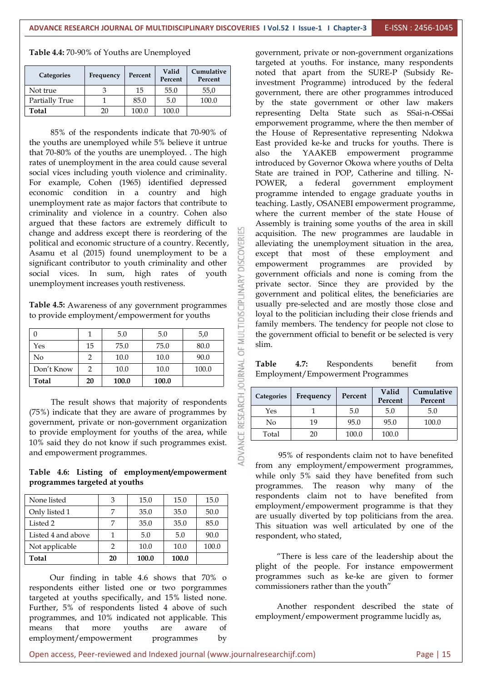| <b>Categories</b> | Frequency | Percent | Valid<br>Percent | Cumulative<br>Percent |
|-------------------|-----------|---------|------------------|-----------------------|
| Not true          |           | 15      | 55.0             | 55,0                  |
| Partially True    |           | 85.0    | 5.0              | 100.0                 |
| Total             | 20        | 100.0   | 100.0            |                       |

**Table 4.4:** 70-90% of Youths are Unemployed

85% of the respondents indicate that 70-90% of the youths are unemployed while 5% believe it untrue that 70-80% of the youths are unemployed. . The high rates of unemployment in the area could cause several social vices including youth violence and criminality. For example, Cohen (1965) identified depressed economic condition in a country and high unemployment rate as major factors that contribute to criminality and violence in a country. Cohen also argued that these factors are extremely difficult to change and address except there is reordering of the political and economic structure of a country. Recently, Asamu et al (2015) found unemployment to be a significant contributor to youth criminality and other political and economic structure of a country. Recently, Asamu et al (2015) found unemployment to be a significant contributor to youth criminality and other  $\Box$  empowerment unemployment increases youth restiveness.

| social vices. In sum, high rates of youth           |    |       |       |                                               |                  | govern         |
|-----------------------------------------------------|----|-------|-------|-----------------------------------------------|------------------|----------------|
| unemployment increases youth restiveness.           |    |       |       |                                               |                  | private        |
|                                                     |    |       |       |                                               | <b>CIPLINARY</b> | govern         |
| Table 4.5: Awareness of any government programmes   |    |       |       |                                               |                  | usually        |
| to provide employment/empowerment for youths        |    |       |       |                                               |                  | loyal to       |
|                                                     |    |       |       |                                               |                  | family         |
| $\Omega$                                            | 1  | 5.0   | 5.0   | 5,0                                           |                  | the gov        |
| Yes                                                 | 15 | 75.0  | 75.0  | 80.0                                          |                  | slim.          |
| No                                                  | 2  | 10.0  | 10.0  | 90.0                                          |                  |                |
| Don't Know                                          | 2  | 10.0  | 10.0  | 100.0                                         | <b>DURNAI</b>    | Table<br>Emplo |
| Total                                               | 20 | 100.0 | 100.0 |                                               |                  |                |
|                                                     |    |       |       | The result shows that majority of respondents | RESEARCH         | Categori       |
| (75%) indicate that they are aware of programmes by |    |       |       |                                               |                  | Yes            |
| government, private or non-government organization  |    |       |       |                                               |                  | No.            |
| to provide employment for youths of the area, while |    |       |       |                                               | ٣                | Total          |
| 10% said they do not know if such programmes exist. |    |       |       |                                               |                  |                |
| and empowerment programmes.                         |    |       |       |                                               |                  |                |
|                                                     |    |       |       |                                               |                  |                |

#### **Table 4.6: Listing of employment/empowerment programmes targeted at youths**

| Total              | 20 | 100.0 | 100.0 |       | "There is less care of the leader<br>$\mathbf{1} \cdot \mathbf{1}$ , and the $\mathbf{1} \cdot \mathbf{1}$ , and $\mathbf{1} \cdot \mathbf{1}$ , and $\mathbf{1} \cdot \mathbf{1}$ , and $\mathbf{1} \cdot \mathbf{1}$ |
|--------------------|----|-------|-------|-------|------------------------------------------------------------------------------------------------------------------------------------------------------------------------------------------------------------------------|
| Not applicable     |    | 10.0  | 10.0  | 100.0 |                                                                                                                                                                                                                        |
| Listed 4 and above |    | 5.0   | 5.0   | 90.0  | respondent, who stated,                                                                                                                                                                                                |
| Listed 2           |    | 35.0  | 35.0  | 85.0  | This situation was well articulated 1                                                                                                                                                                                  |
| Only listed 1      |    | 35.0  | 35.0  | 50.0  | are usually diverted by top politicians                                                                                                                                                                                |
| None listed        | 3  | 15.0  | 15.0  | 15.0  | respondents claim not to have b<br>employment/empowerment programm                                                                                                                                                     |

Our finding in table 4.6 shows that 70% o respondents either listed one or two porgrammes targeted at youths specifically, and 15% listed none. Further, 5% of respondents listed 4 above of such programmes, and 10% indicated not applicable. This means that more youths are aware of employment/empowerment programmes by

**Cumulative** noted that apart from the SURE-P (Subsidy Re-Not true 13 15 55.0 55,0 government, there are other programmes introduced Partially True  $\begin{array}{c|c|c|c|c|c|c|c|c} \hline 1 & 85.0 & 5.0 & 100.0 \ \hline \end{array}$  by the state government or other law makers government, private or non-government organizations targeted at youths. For instance, many respondents investment Programme) introduced by the federal representing Delta State such as SSai-n-OSSai emporwement programme, where the then member of the House of Representative representing Ndokwa East provided ke-ke and trucks for youths. There is also the YAAKEB empowerment programme introduced by Governor Okowa where youths of Delta State are trained in POP, Catherine and tilling. N-POWER, <sup>a</sup> federal government employment programme intended to engage graduate youths in teaching. Lastly, OSANEBI empowerment programme, where the current member of the state House of Assembly is training some youths of the area in skill acquisition. The new programmes are laudable in alleviating the unemployment situation in the area, except that most of these employment and programmes are provided by government officials and none is coming from the private sector. Since they are provided by the government and political elites, the beneficiaries are usually pre-selected and are mostly those close and loyal to the politician including their close friends and family members. The tendency for people not close to the government official to benefit or be selected is very slim.

> **Table 4.7:** Respondents benefit from Employment/Empowerment Programmes

| Categories |           | Percent | Valid   | Cumulative |
|------------|-----------|---------|---------|------------|
|            | Frequency |         | Percent | Percent    |
| Yes        |           | 5.0     | 5.0     | 5.0        |
| No         | 19        | 95.0    | 95.0    | 100.0      |
| Total      | 20        | 100.0   | 100.0   |            |

Listed 2 7 35.0 35.0 85.0 This situation was well articulated by one of the 95% of respondents claim not to have benefited from any employment/empowerment programmes, while only 5% said they have benefited from such programmes. The reason why many of the respondents claim not to have benefited from employment/empowerment programme is that they are usually diverted by top politicians from the area.

> "There is less care of the leadership about the plight of the people. For instance empowerment programmes such as ke-ke are given to former commissioners rather than the youth"

> Another respondent described the state of employment/empowerment programme lucidly as,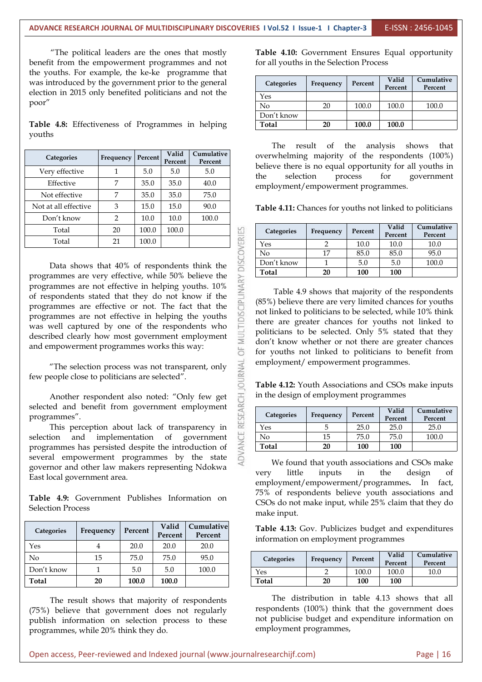<u>a</u>

"The political leaders are the ones that mostly benefit from the empowerment programmes and not the youths. For example, the ke-ke programme that was introduced by the government prior to the general election in 2015 only benefited politicians and not the poor"

**Table 4.8:** Effectiveness of Programmes in helping youths

| Categories           | Frequency | Percent | Valid<br>Percent | Cumulative<br>Percent |                | overwhelming majority of the respondents (100%)                             |           |         |                  |                              |
|----------------------|-----------|---------|------------------|-----------------------|----------------|-----------------------------------------------------------------------------|-----------|---------|------------------|------------------------------|
| Very effective       |           | 5.0     | 5.0              | 5.0                   |                | believe there is no equal opportunity for all youths in<br>selection<br>the |           | process | for              | government                   |
| Effective            |           | 35.0    | 35.0             | 40.0                  |                | employment/empowerment programmes.                                          |           |         |                  |                              |
| Not effective        |           | 35.0    | 35.0             | 75.0                  |                |                                                                             |           |         |                  |                              |
| Not at all effective |           | 15.0    | 15.0             | 90.0                  |                | Table 4.11: Chances for youths not linked to politicians                    |           |         |                  |                              |
| Don't know           | ∍         | 10.0    | 10.0             | 100.0                 |                |                                                                             |           |         |                  |                              |
| Total                | 20        | 100.0   | 100.0            |                       | $\Xi$          | Categories                                                                  | Frequency | Percent | Valid<br>Percent | <b>Cumulative</b><br>Percent |
| Total                | 21        | 100.0   |                  |                       | $\propto$<br>Ш | Yes                                                                         |           | 10.0    | 10.0             | 10.0                         |
|                      |           |         |                  |                       |                |                                                                             |           |         |                  |                              |

Total 20 100.0 100.0<br>
Total 21 100.0 100.0<br>
Data shows that 40% of respondents think the<br>
rammes are very effective, while 50% believe the<br>
rammes are not effective in helping youths. 10%<br>
spondents stated that they do not programmes are very effective, while 50% believe the programmes are not effective in helping youths. 10% of respondents stated that they do not know if the programmes are effective or not. The fact that the programmes are not effective in helping the youths was well captured by one of the respondents who described clearly how most government employment and empowerment programmes works this way:

"The selection process was not transparent, only  $\sum_{n=1}^{\infty}$ few people close to politicians are selected".

selected and benefit from government employment programmes".

Another respondent also noted: "Only few get<br>ed and benefit from government employment<br>ammes".<br>This perception about lack of transparency in<br>ion and implementation of government<br>ammes has persisted despite the introduction This perception about lack of transparency in selection and implementation of government programmes has persisted despite the introduction of several empowerment programmes by the state governor and other law makers representing Ndokwa very little East local government area.

**Table 4.9:** Government Publishes Information on Selection Process

| Categories | Frequency | Percent | Valid<br>Percent | Cumulative<br>Percent | Table 4<br>informa |
|------------|-----------|---------|------------------|-----------------------|--------------------|
| Yes        |           | 20.0    | 20.0             | 20.0                  |                    |
| No         | 15        | 75.0    | 75.0             | 95.0                  | Catego             |
| Don't know |           | 5.0     | 5.0              | 100.0                 | Yes                |
| Total      | 20        | 100.0   | 100.0            |                       | Total              |

The result shows that majority of respondents (75%) believe that government does not regularly publish information on selection process to these programmes, while 20% think they do.

**Table 4.10:** Government Ensures Equal opportunity for all youths in the Selection Process

| Categories | Frequency | Percent | Valid   | Cumulative |
|------------|-----------|---------|---------|------------|
|            |           |         | Percent | Percent    |
| Yes        |           |         |         |            |
| No         | 20        | 100.0   | 100.0   | 100.0      |
| Don't know |           |         |         |            |
| Total      | 20        | 100.0   | 100.0   |            |

**Cumulative** overwhelming majority of the respondents (100%) The result of the analysis shows that believe there is no equal opportunity for all youths in the selection process for government employment/empowerment programmes.

| Categories | Frequency | Percent | Valid<br>Percent | Cumulative<br>Percent |  |
|------------|-----------|---------|------------------|-----------------------|--|
| Yes        |           | 10.0    | 10.0             | 10.0                  |  |
| No         | 17        | 85.0    | 85.0             | 95.0                  |  |
| Don't know |           | 5.0     | 5.0              | 100.0                 |  |
| Total      | 20        | 100     | 100              |                       |  |

Table 4.9 shows that majority of the respondents (85%) believe there are very limited chances for youths not linked to politicians to be selected, while 10% think there are greater chances for youths not linked to politicians to be selected. Only 5% stated that they don't know whether or not there are greater chances for youths not linked to politicians to benefit from employment/ empowerment programmes.

**Table 4.12:** Youth Associations and CSOs make inputs in the design of employment programmes

| <b>Categories</b> |           | Percent | Valid   | Cumulative |
|-------------------|-----------|---------|---------|------------|
|                   | Frequency |         | Percent | Percent    |
| Yes               |           | 25.0    | 25.0    | 25.0       |
| No                | 15        | 75.0    | 75.0    | 100.0      |
| Total             | 20        | 100     | 100     |            |

We found that youth associations and CSOs make very little inputs in the design of employment/empowerment/programmes**.** In fact, 75% of respondents believe youth associations and CSOs do not make input, while 25% claim that they do make input.

**Cumulative Table 4.13:** Gov. Publicizes budget and expenditures information on employment programmes

| <b>Categories</b> | Frequency | Percent | Valid<br>Percent | Cumulative<br>Percent |
|-------------------|-----------|---------|------------------|-----------------------|
| Yes               |           | 100.0   | 100.0            | 10.0                  |
| Total             | 20        | 100     | 100              |                       |

The distribution in table 4.13 shows that all respondents (100%) think that the government does not publicise budget and expenditure information on employment programmes,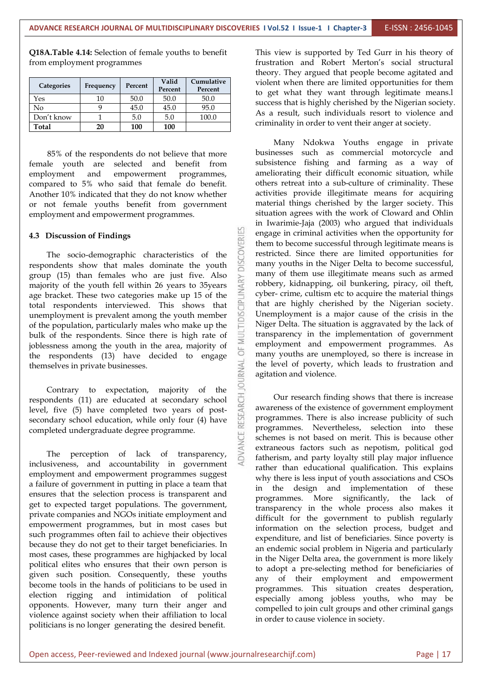**Q18A.Table 4.14:** Selection of female youths to benefit from employment programmes

| <b>Categories</b> | Frequency | Percent | Valid<br>Percent | Cumulative<br>Percent | violent y<br>to get y |
|-------------------|-----------|---------|------------------|-----------------------|-----------------------|
| Yes               | 10        | 50.0    | 50.0             | 50.0                  | success f<br>As a re  |
| No                |           | 45.0    | 45.0             | 95.0                  |                       |
| Don't know        |           | 5.0     | 5.0              | 100.0                 |                       |
| Total             | 20        | 100     | 100              |                       | criminal              |

85% of the respondents do not believe that more female youth are selected and benefit from employment and empowerment programmes, compared to 5% who said that female do benefit. Another 10% indicated that they do not know whether or not female youths benefit from government employment and empowerment programmes.

#### **4.3 Discussion of Findings**

Discussion of Findings<br>The socio-demographic characteristics of the<br>ondents show that males dominate the youth respondents show that males dominate the youth group (15) than females who are just five. Also majority of the youth fell within 26 years to 35years age bracket. These two categories make up 15 of the total respondents interviewed. This shows that unemployment is prev majority of the youth fell within 26 years to 35years age bracket. These two categories make up 15 of the total respondents interviewed. This shows that unemployment is prevalent among the youth member of the population, particularly males who make up the bulk of the respondents. Since there is high rate of joblessness among the youth in the area, majority of the respondents (13) have decided to engage<br>themselves in private businesses. themselves in private businesses.

Contrary to expectation, majority of the pondents (11) are educated at secondary school  $\frac{1}{2}$ , five (5) have completed two years of post-<br>hadary school education, while only four (4) have respondents (11) are educated at secondary school level, five (5) have completed two years of post secondary school education, while only four (4) have completed undergraduate degree programme.

bleted undergraduate degree programme.<br>The perception of lack of transparency,<br>siveness and accountability in government inclusiveness, and accountability in government employment and empowerment programmes suggest a failure of government in putting in place a team that ensures that the selection process is transparent and get to expected target populations. The government, private companies and NGOs initiate employment and empowerment programmes, but in most cases but such programmes often fail to achieve their objectives because they do not get to their target beneficiaries. In most cases, these programmes are highjacked by local political elites who ensures that their own person is given such position. Consequently, these youths become tools in the hands of politicians to be used in election rigging and intimidation of political opponents. However, many turn their anger and violence against society when their affiliation to local politicians is no longer generating the desired benefit.

**Cumulative** violent when there are limited opportunities for them This view is supported by Ted Gurr in his theory of frustration and Robert Merton's social structural theory. They argued that people become agitated and to get what they want through legitimate means.l success that is highly cherished by the Nigerian society. As a result, such individuals resort to violence and criminality in order to vent their anger at society.

> Many Ndokwa Youths engage in private businesses such as commercial motorcycle and subsistence fishing and farming as a way of ameliorating their difficult economic situation, while others retreat into a sub-culture of criminality. These activities provide illegitimate means for acquiring material things cherished by the larger society. This situation agrees with the work of Cloward and Ohlin in Iwarimie-Jaja (2003) who argued that individuals engage in criminal activities when the opportunity for them to become successful through legitimate means is restricted. Since there are limited opportunities for many youths in the Niger Delta to become successful, many of them use illegitimate means such as armed robbery, kidnapping, oil bunkering, piracy, oil theft, cyber- crime, cultism etc to acquire the material things that are highly cherished by the Nigerian society. Unemployment is a major cause of the crisis in the Niger Delta. The situation is aggravated by the lack of transparency in the implementation of government employment and empowerment programmes. As many youths are unemployed, so there is increase in the level of poverty, which leads to frustration and agitation and violence.

> Our research finding shows that there is increase awareness of the existence of government employment programmes. There is also increase publicity of such programmes. Nevertheless, selection into these schemes is not based on merit. This is because other extraneous factors such as nepotism, political god fatherism, and party loyalty still play major influence rather than educational qualification. This explains why there is less input of youth associations and CSOs in the design and implementation of these programmes. More significantly, the lack of transparency in the whole process also makes it difficult for the government to publish regularly information on the selection process, budget and expenditure, and list of beneficiaries. Since poverty is an endemic social problem in Nigeria and particularly in the Niger Delta area, the government is more likely to adopt a pre-selecting method for beneficiaries of any of their employment and empowerment programmes. This situation creates desperation, especially among jobless youths, who may be compelled to join cult groups and other criminal gangs in order to cause violence in society.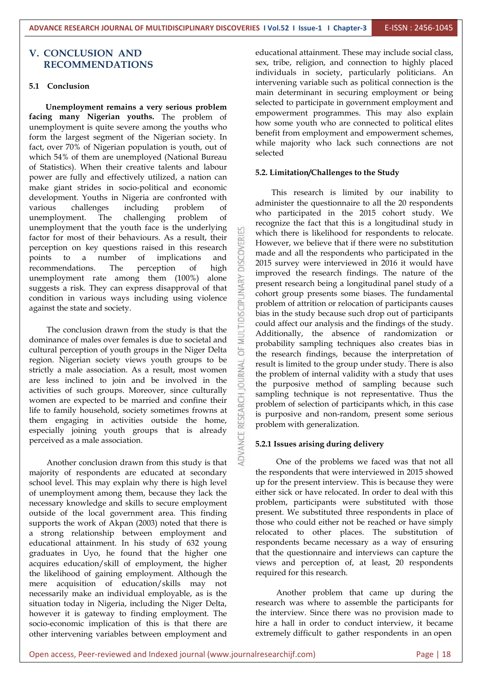#### **V. CONCLUSION AND RECOMMENDATIONS**

#### **5.1 Conclusion**

**Unemployment remains a very serious problem facing many Nigerian youths.** The problem of unemployment is quite severe among the youths who form the largest segment of the Nigerian society. In fact, over 70% of Nigerian population is youth, out of which 54% of them are unemployed (National Bureau of Statistics). When their creative talents and labour power are fully and effectively utilized, a nation can make giant strides in socio-political and economic development. Youths in Nigeria are confronted with various challenges including problem of unemployment. The challenging problem of unemployment that the youth face is the underlying factor for most of their behaviours. As a result, their perception on key questions raised in this research<br>points to a number of implications and<br>recommendations. The perception of high points to a number of implications and recommendations. The perception of high unemployment rate among them (100%) alone suggests a risk. They can express disapproval of that scondition in various ways including using violence suggests a risk. They can express disapproval of that condition in various ways including using violence against the state and society.

The conclusion drawn from the study is that the inance of males over females is due to societal and dominance of males over females is due to societal and cultural perception of youth groups in the Niger Delta  $\overline{\mathcal{L}}$ region. Nigerian society views youth groups to be strictly a male association. As a result, most women are less inclined to join and be involved in the  $\frac{35}{60}$ strictly a male association. As a result, most women are less inclined to join and be involved in the activities of such groups. Moreover, since culturally women are expected to be married and confine their life to family household, society sometimes frowns at them engaging in activities outside the home, especially joining youth groups that is already perceived as a male association.

Another conclusion drawn from this study is that majority of respondents are educated at secondary school level. This may explain why there is high level of unemployment among them, because they lack the necessary knowledge and skills to secure employment outside of the local government area. This finding supports the work of Akpan (2003) noted that there is a strong relationship between employment and educational attainment. In his study of 632 young graduates in Uyo, he found that the higher one acquires education/skill of employment, the higher the likelihood of gaining employment. Although the mere acquisition of education/skills may not necessarily make an individual employable, as is the situation today in Nigeria, including the Niger Delta, however it is gateway to finding employment. The socio-economic implication of this is that there are other intervening variables between employment and educational attainment. These may include social class, sex, tribe, religion, and connection to highly placed individuals in society, particularly politicians. An intervening variable such as political connection is the main determinant in securing employment or being selected to participate in government employment and empowerment programmes. This may also explain how some youth who are connected to political elites benefit from employment and empowerment schemes, while majority who lack such connections are not selected

#### **5.2. Limitation/Challenges to the Study**

This research is limited by our inability to administer the questionnaire to all the 20 respondents who participated in the 2015 cohort study. We recognize the fact that this is a longitudinal study in which there is likelihood for respondents to relocate. However, we believe that if there were no substitution made and all the respondents who participated in the 2015 survey were interviewed in 2016 it would have improved the research findings. The nature of the present research being a longitudinal panel study of a cohort group presents some biases. The fundamental problem of attrition or relocation of participants causes bias in the study because such drop out of participants could affect our analysis and the findings of the study. Additionally, the absence of randomization or probability sampling techniques also creates bias in the research findings, because the interpretation of result is limited to the group under study. There is also the problem of internal validity with a study that uses the purposive method of sampling because such sampling technique is not representative. Thus the problem of selection of participants which, in this case is purposive and non-random, present some serious problem with generalization.

#### **5.2.1 Issues arising during delivery**

One of the problems we faced was that not all the respondents that were interviewed in 2015 showed up for the present interview. This is because they were either sick or have relocated. In order to deal with this problem, participants were substituted with those present. We substituted three respondents in place of those who could either not be reached or have simply relocated to other places. The substitution of respondents became necessary as a way of ensuring that the questionnaire and interviews can capture the views and perception of, at least,20 respondents required for this research.

Another problem that came up during the research was where to assemble the participants for the interview. Since there was no provision made to hire a hall in order to conduct interview, it became extremely difficult to gather respondents in an open